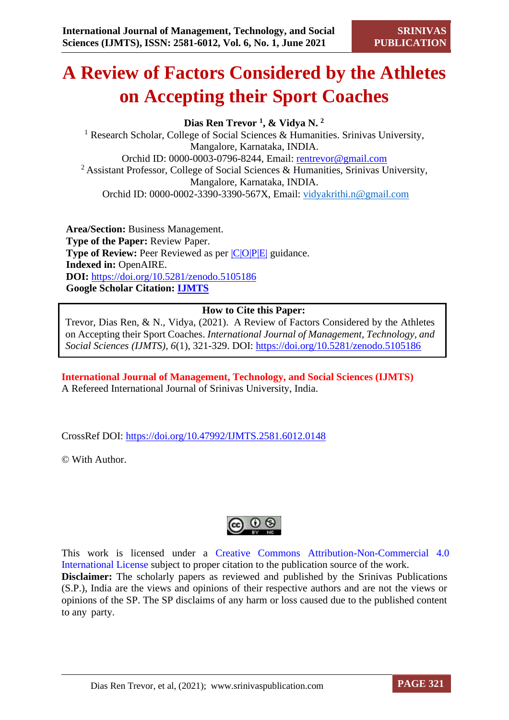# **A Review of Factors Considered by the Athletes on Accepting their Sport Coaches**

**Dias Ren Trevor <sup>1</sup> , & Vidya N. <sup>2</sup>**

<sup>1</sup> Research Scholar, College of Social Sciences & Humanities. Srinivas University, Mangalore, Karnataka, INDIA. Orchid ID: 0000-0003-0796-8244, Email: [rentrevor@gmail.com](about:blank) <sup>2</sup> Assistant Professor, College of Social Sciences & Humanities, Srinivas University, Mangalore, Karnataka, INDIA. Orchid ID: 0000-0002-3390-3390-567X, Email: [vidyakrithi.n@gmail.com](about:blank)

**Area/Section:** Business Management. **Type of the Paper:** Review Paper. **Type of Review:** Peer Reviewed as per  $|C|O||P|E|$  guidance. **Indexed in:** OpenAIRE. **DOI:** <https://doi.org/10.5281/zenodo.5105186> **Google Scholar Citation: [IJMTS](https://scholar.google.com/citations?user=bphF0BQAAAAJ)**

### **How to Cite this Paper:**

Trevor, Dias Ren, & N., Vidya, (2021). A Review of Factors Considered by the Athletes on Accepting their Sport Coaches. *International Journal of Management, Technology, and Social Sciences (IJMTS), 6*(1), 321-329. DOI:<https://doi.org/10.5281/zenodo.5105186>

**International Journal of Management, Technology, and Social Sciences (IJMTS)** A Refereed International Journal of Srinivas University, India.

CrossRef DOI: [https://doi.org/10.47992/IJMTS.2581.6012.0148](https://search.crossref.org/?q=10.47992%2FIJMTS.2581.6012.0148&from_ui=yes)

© With Author.



This work is licensed under a Creative Commons Attribution-Non-Commercial 4.0 International License subject to proper citation to the publication source of the work. **Disclaimer:** The scholarly papers as reviewed and published by the Srinivas Publications (S.P.), India are the views and opinions of their respective authors and are not the views or opinions of the SP. The SP disclaims of any harm or loss caused due to the published content to any party.

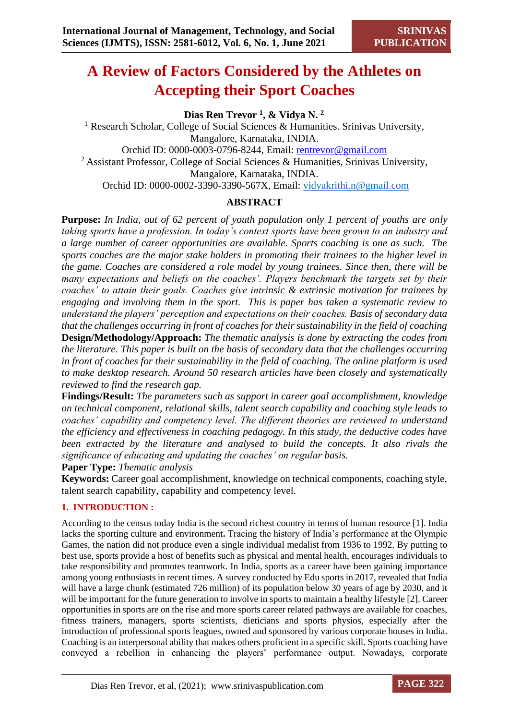# **A Review of Factors Considered by the Athletes on Accepting their Sport Coaches**

**Dias Ren Trevor <sup>1</sup> , & Vidya N. <sup>2</sup>** <sup>1</sup> Research Scholar, College of Social Sciences & Humanities. Srinivas University, Mangalore, Karnataka, INDIA. Orchid ID: 0000-0003-0796-8244, Email: [rentrevor@gmail.com](about:blank) <sup>2</sup> Assistant Professor, College of Social Sciences & Humanities, Srinivas University, Mangalore, Karnataka, INDIA. Orchid ID: 0000-0002-3390-3390-567X, Email: [vidyakrithi.n@gmail.com](about:blank)

# **ABSTRACT**

**Purpose:** *In India, out of 62 percent of youth population only 1 percent of youths are only taking sports have a profession. In today's context sports have been grown to an industry and a large number of career opportunities are available. Sports coaching is one as such. The sports coaches are the major stake holders in promoting their trainees to the higher level in the game. Coaches are considered a role model by young trainees. Since then, there will be many expectations and beliefs on the coaches'. Players benchmark the targets set by their coaches' to attain their goals. Coaches give intrinsic & extrinsic motivation for trainees by engaging and involving them in the sport. This is paper has taken a systematic review to understand the players' perception and expectations on their coaches. Basis of secondary data that the challenges occurring in front of coaches for their sustainability in the field of coaching* **Design/Methodology/Approach:** *The thematic analysis is done by extracting the codes from the literature. This paper is built on the basis of secondary data that the challenges occurring in front of coaches for their sustainability in the field of coaching. The online platform is used to make desktop research. Around 50 research articles have been closely and systematically reviewed to find the research gap.* 

**Findings/Result:** *The parameters such as support in career goal accomplishment, knowledge on technical component, relational skills, talent search capability and coaching style leads to coaches' capability and competency level. The different theories are reviewed to understand the efficiency and effectiveness in coaching pedagogy. In this study, the deductive codes have been extracted by the literature and analysed to build the concepts. It also rivals the significance of educating and updating the coaches' on regular basis.* 

**Paper Type:** *Thematic analysis*

**Keywords:** Career goal accomplishment, knowledge on technical components, coaching style, talent search capability, capability and competency level.

#### **1. INTRODUCTION :**

According to the census today India is the second richest country in terms of human resource [1]. India lacks the sporting culture and environment**.** Tracing the history of India's performance at the Olympic Games, the nation did not produce even a single individual medalist from 1936 to 1992. By putting to best use, sports provide a host of benefits such as physical and mental health, encourages individuals to take responsibility and promotes teamwork. In India, sports as a career have been gaining importance among young enthusiasts in recent times. A survey conducted by Edu sports in 2017, revealed that India will have a large chunk (estimated 726 million) of its population below 30 years of age by 2030, and it will be important for the future generation to involve in sports to maintain a healthy lifestyle [2]. Career opportunities in sports are on the rise and more sports career related pathways are available for coaches, fitness trainers, managers, sports scientists, dieticians and sports physios, especially after the introduction of professional sports leagues, owned and sponsored by various corporate houses in India. Coaching is an interpersonal ability that makes others proficient in a specific skill. Sports coaching have conveyed a rebellion in enhancing the players' performance output. Nowadays, corporate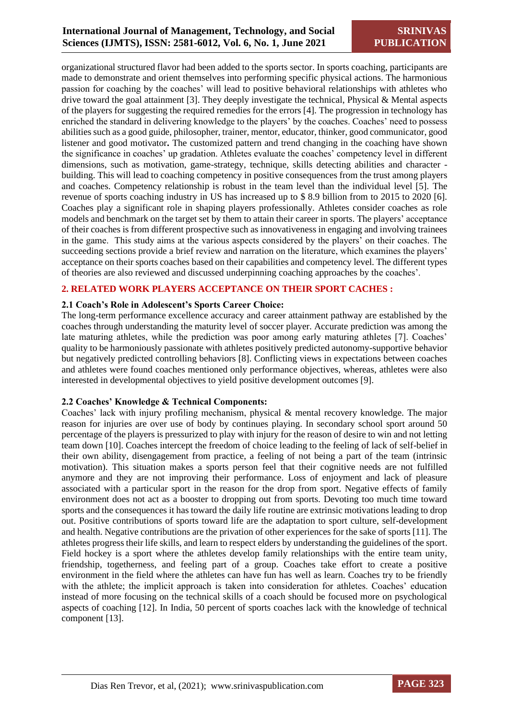organizational structured flavor had been added to the sports sector. In sports coaching, participants are made to demonstrate and orient themselves into performing specific physical actions. The harmonious passion for coaching by the coaches' will lead to positive behavioral relationships with athletes who drive toward the goal attainment [3]. They deeply investigate the technical, Physical & Mental aspects of the players for suggesting the required remedies for the errors [4]. The progression in technology has enriched the standard in delivering knowledge to the players' by the coaches. Coaches' need to possess abilities such as a good guide, philosopher, trainer, mentor, educator, thinker, good communicator, good listener and good motivator**.** The customized pattern and trend changing in the coaching have shown the significance in coaches' up gradation. Athletes evaluate the coaches' competency level in different dimensions, such as motivation, game-strategy, technique, skills detecting abilities and character building. This will lead to coaching competency in positive consequences from the trust among players and coaches. Competency relationship is robust in the team level than the individual level [5]. The revenue of sports coaching industry in US has increased up to \$ 8.9 billion from to 2015 to 2020 [6]. Coaches play a significant role in shaping players professionally. Athletes consider coaches as role models and benchmark on the target set by them to attain their career in sports. The players' acceptance of their coaches is from different prospective such as innovativeness in engaging and involving trainees in the game. This study aims at the various aspects considered by the players' on their coaches. The succeeding sections provide a brief review and narration on the literature, which examines the players' acceptance on their sports coaches based on their capabilities and competency level. The different types of theories are also reviewed and discussed underpinning coaching approaches by the coaches'.

#### **2. RELATED WORK PLAYERS ACCEPTANCE ON THEIR SPORT CACHES :**

#### **2.1 Coach's Role in Adolescent's Sports Career Choice:**

The long-term performance excellence accuracy and career attainment pathway are established by the coaches through understanding the maturity level of soccer player. Accurate prediction was among the late maturing athletes, while the prediction was poor among early maturing athletes [7]. Coaches' quality to be harmoniously passionate with athletes positively predicted autonomy-supportive behavior but negatively predicted controlling behaviors [8]. Conflicting views in expectations between coaches and athletes were found coaches mentioned only performance objectives, whereas, athletes were also interested in developmental objectives to yield positive development outcomes [9].

#### **2.2 Coaches' Knowledge & Technical Components:**

Coaches' lack with injury profiling mechanism, physical & mental recovery knowledge. The major reason for injuries are over use of body by continues playing. In secondary school sport around 50 percentage of the players is pressurized to play with injury for the reason of desire to win and not letting team down [10]. Coaches intercept the freedom of choice leading to the feeling of lack of self-belief in their own ability, disengagement from practice, a feeling of not being a part of the team (intrinsic motivation). This situation makes a sports person feel that their cognitive needs are not fulfilled anymore and they are not improving their performance. Loss of enjoyment and lack of pleasure associated with a particular sport in the reason for the drop from sport. Negative effects of family environment does not act as a booster to dropping out from sports. Devoting too much time toward sports and the consequences it has toward the daily life routine are extrinsic motivations leading to drop out. Positive contributions of sports toward life are the adaptation to sport culture, self-development and health. Negative contributions are the privation of other experiences for the sake of sports [11]. The athletes progress their life skills, and learn to respect elders by understanding the guidelines of the sport. Field hockey is a sport where the athletes develop family relationships with the entire team unity, friendship, togetherness, and feeling part of a group. Coaches take effort to create a positive environment in the field where the athletes can have fun has well as learn. Coaches try to be friendly with the athlete; the implicit approach is taken into consideration for athletes. Coaches' education instead of more focusing on the technical skills of a coach should be focused more on psychological aspects of coaching [12]. In India, 50 percent of sports coaches lack with the knowledge of technical component [13].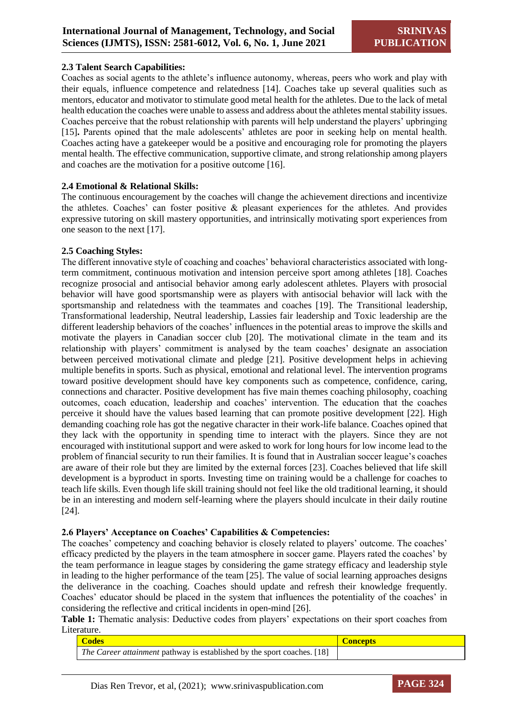#### **2.3 Talent Search Capabilities:**

Coaches as social agents to the athlete's influence autonomy, whereas, peers who work and play with their equals, influence competence and relatedness [14]. Coaches take up several qualities such as mentors, educator and motivator to stimulate good metal health for the athletes. Due to the lack of metal health education the coaches were unable to assess and address about the athletes mental stability issues. Coaches perceive that the robust relationship with parents will help understand the players' upbringing [15]**.** Parents opined that the male adolescents' athletes are poor in seeking help on mental health. Coaches acting have a gatekeeper would be a positive and encouraging role for promoting the players mental health. The effective communication, supportive climate, and strong relationship among players and coaches are the motivation for a positive outcome [16].

#### **2.4 Emotional & Relational Skills:**

The continuous encouragement by the coaches will change the achievement directions and incentivize the athletes. Coaches' can foster positive & pleasant experiences for the athletes. And provides expressive tutoring on skill mastery opportunities, and intrinsically motivating sport experiences from one season to the next [17].

#### **2.5 Coaching Styles:**

The different innovative style of coaching and coaches' behavioral characteristics associated with longterm commitment, continuous motivation and intension perceive sport among athletes [18]. Coaches recognize prosocial and antisocial behavior among early adolescent athletes. Players with prosocial behavior will have good sportsmanship were as players with antisocial behavior will lack with the sportsmanship and relatedness with the teammates and coaches [19]. The Transitional leadership, Transformational leadership, Neutral leadership, Lassies fair leadership and Toxic leadership are the different leadership behaviors of the coaches' influences in the potential areas to improve the skills and motivate the players in Canadian soccer club [20]. The motivational climate in the team and its relationship with players' commitment is analysed by the team coaches' designate an association between perceived motivational climate and pledge [21]. Positive development helps in achieving multiple benefits in sports. Such as physical, emotional and relational level. The intervention programs toward positive development should have key components such as competence, confidence, caring, connections and character. Positive development has five main themes coaching philosophy, coaching outcomes, coach education, leadership and coaches' intervention. The education that the coaches perceive it should have the values based learning that can promote positive development [22]. High demanding coaching role has got the negative character in their work-life balance. Coaches opined that they lack with the opportunity in spending time to interact with the players. Since they are not encouraged with institutional support and were asked to work for long hours for low income lead to the problem of financial security to run their families. It is found that in Australian soccer league's coaches are aware of their role but they are limited by the external forces [23]. Coaches believed that life skill development is a byproduct in sports. Investing time on training would be a challenge for coaches to teach life skills. Even though life skill training should not feel like the old traditional learning, it should be in an interesting and modern self-learning where the players should inculcate in their daily routine [24].

#### **2.6 Players' Acceptance on Coaches' Capabilities & Competencies:**

The coaches' competency and coaching behavior is closely related to players' outcome. The coaches' efficacy predicted by the players in the team atmosphere in soccer game. Players rated the coaches' by the team performance in league stages by considering the game strategy efficacy and leadership style in leading to the higher performance of the team [25]. The value of social learning approaches designs the deliverance in the coaching. Coaches should update and refresh their knowledge frequently. Coaches' educator should be placed in the system that influences the potentiality of the coaches' in considering the reflective and critical incidents in open-mind [26].

**Table 1:** Thematic analysis: Deductive codes from players' expectations on their sport coaches from Literature.

| <b>Codes</b>                                                                   | <b>Concepts</b> |
|--------------------------------------------------------------------------------|-----------------|
| <i>The Career attainment</i> pathway is established by the sport coaches. [18] |                 |

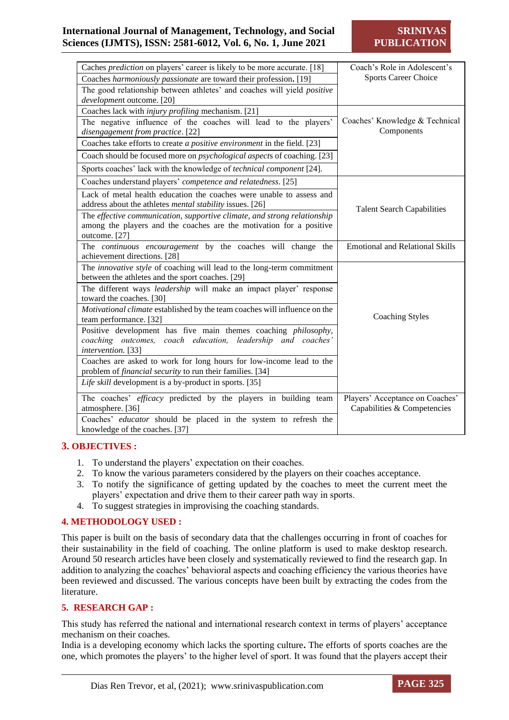## **International Journal of Management, Technology, and Social Sciences (IJMTS), ISSN: 2581-6012, Vol. 6, No. 1, June 2021**

**SRINIV PUBLICATION**

| Caches prediction on players' career is likely to be more accurate. [18]                                                                                         | Coach's Role in Adolescent's                                   |
|------------------------------------------------------------------------------------------------------------------------------------------------------------------|----------------------------------------------------------------|
| Coaches harmoniously passionate are toward their profession. [19]                                                                                                | <b>Sports Career Choice</b>                                    |
| The good relationship between athletes' and coaches will yield <i>positive</i><br>development outcome. [20]                                                      |                                                                |
| Coaches lack with <i>injury profiling</i> mechanism. [21]                                                                                                        |                                                                |
| The negative influence of the coaches will lead to the players'<br>disengagement from practice. [22]                                                             | Coaches' Knowledge & Technical<br>Components                   |
| Coaches take efforts to create a positive environment in the field. [23]                                                                                         |                                                                |
| Coach should be focused more on <i>psychological aspects</i> of coaching. [23]                                                                                   |                                                                |
| Sports coaches' lack with the knowledge of technical component [24].                                                                                             |                                                                |
| Coaches understand players' competence and relatedness. [25]                                                                                                     |                                                                |
| Lack of metal health education the coaches were unable to assess and<br>address about the athletes <i>mental stability</i> issues. [26]                          | <b>Talent Search Capabilities</b>                              |
| The effective communication, supportive climate, and strong relationship<br>among the players and the coaches are the motivation for a positive<br>outcome. [27] |                                                                |
| The continuous encouragement by the coaches will change the<br>achievement directions. [28]                                                                      | <b>Emotional and Relational Skills</b>                         |
| The innovative style of coaching will lead to the long-term commitment<br>between the athletes and the sport coaches. [29]                                       |                                                                |
| The different ways leadership will make an impact player' response<br>toward the coaches. [30]                                                                   |                                                                |
| Motivational climate established by the team coaches will influence on the<br>team performance. [32]                                                             | <b>Coaching Styles</b>                                         |
| Positive development has five main themes coaching philosophy,<br>coaching outcomes, coach education, leadership and coaches'<br>intervention. [33]              |                                                                |
| Coaches are asked to work for long hours for low-income lead to the<br>problem of <i>financial security</i> to run their families. [34]                          |                                                                |
| Life skill development is a by-product in sports. [35]                                                                                                           |                                                                |
| The coaches' efficacy predicted by the players in building team<br>atmosphere. [36]                                                                              | Players' Acceptance on Coaches'<br>Capabilities & Competencies |
| Coaches' educator should be placed in the system to refresh the<br>knowledge of the coaches. [37]                                                                |                                                                |

#### **3. OBJECTIVES :**

- 1. To understand the players' expectation on their coaches.
- 2. To know the various parameters considered by the players on their coaches acceptance.
- 3. To notify the significance of getting updated by the coaches to meet the current meet the players' expectation and drive them to their career path way in sports.
- 4. To suggest strategies in improvising the coaching standards.

#### **4. METHODOLOGY USED :**

This paper is built on the basis of secondary data that the challenges occurring in front of coaches for their sustainability in the field of coaching. The online platform is used to make desktop research. Around 50 research articles have been closely and systematically reviewed to find the research gap. In addition to analyzing the coaches' behavioral aspects and coaching efficiency the various theories have been reviewed and discussed. The various concepts have been built by extracting the codes from the literature.

#### **5. RESEARCH GAP :**

This study has referred the national and international research context in terms of players' acceptance mechanism on their coaches.

India is a developing economy which lacks the sporting culture**.** The efforts of sports coaches are the one, which promotes the players' to the higher level of sport. It was found that the players accept their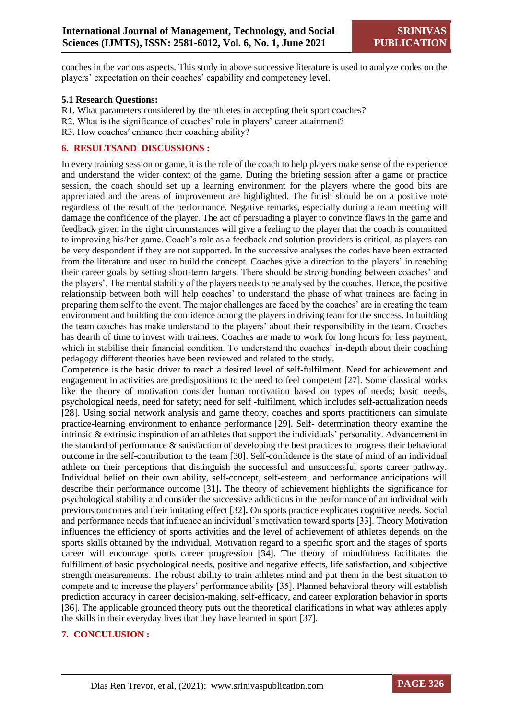coaches in the various aspects. This study in above successive literature is used to analyze codes on the players' expectation on their coaches' capability and competency level.

#### **5.1 Research Questions:**

- R1. What parameters considered by the athletes in accepting their sport coaches?
- R2. What is the significance of coaches' role in players' career attainment?
- R3. How coaches′ enhance their coaching ability?

#### **6. RESULTSAND DISCUSSIONS :**

In every training session or game, it is the role of the coach to help players make sense of the experience and understand the wider context of the game. During the briefing session after a game or practice session, the coach should set up a learning environment for the players where the good bits are appreciated and the areas of improvement are highlighted. The finish should be on a positive note regardless of the result of the performance. Negative remarks, especially during a team meeting will damage the confidence of the player. The act of persuading a player to convince flaws in the game and feedback given in the right circumstances will give a feeling to the player that the coach is committed to improving his/her game. Coach's role as a feedback and solution providers is critical, as players can be very despondent if they are not supported. In the successive analyses the codes have been extracted from the literature and used to build the concept. Coaches give a direction to the players' in reaching their career goals by setting short-term targets. There should be strong bonding between coaches' and the players'. The mental stability of the players needs to be analysed by the coaches. Hence, the positive relationship between both will help coaches' to understand the phase of what trainees are facing in preparing them self to the event. The major challenges are faced by the coaches' are in creating the team environment and building the confidence among the players in driving team for the success. In building the team coaches has make understand to the players' about their responsibility in the team. Coaches has dearth of time to invest with trainees. Coaches are made to work for long hours for less payment, which in stabilise their financial condition. To understand the coaches' in-depth about their coaching pedagogy different theories have been reviewed and related to the study.

Competence is the basic driver to reach a desired level of self-fulfilment. Need for achievement and engagement in activities are predispositions to the need to feel competent [27]. Some classical works like the theory of motivation consider human motivation based on types of needs; basic needs, psychological needs, need for safety; need for self -fulfilment, which includes self-actualization needs [28]. Using social network analysis and game theory, coaches and sports practitioners can simulate practice-learning environment to enhance performance [29]. Self- determination theory examine the intrinsic & extrinsic inspiration of an athletes that support the individuals' personality. Advancement in the standard of performance & satisfaction of developing the best practices to progress their behavioral outcome in the self-contribution to the team [30]. Self-confidence is the state of mind of an individual athlete on their perceptions that distinguish the successful and unsuccessful sports career pathway. Individual belief on their own ability, self-concept, self-esteem, and performance anticipations will describe their performance outcome [31]**.** The theory of achievement highlights the significance for psychological stability and consider the successive addictions in the performance of an individual with previous outcomes and their imitating effect [32]**.** On sports practice explicates cognitive needs. Social and performance needs that influence an individual's motivation toward sports [33]. Theory Motivation influences the efficiency of sports activities and the level of achievement of athletes depends on the sports skills obtained by the individual. Motivation regard to a specific sport and the stages of sports career will encourage sports career progression [34]. The theory of mindfulness facilitates the fulfillment of basic psychological needs, positive and negative effects, life satisfaction, and subjective strength measurements. The robust ability to train athletes mind and put them in the best situation to compete and to increase the players' performance ability [35]. Planned behavioral theory will establish prediction accuracy in career decision-making, self-efficacy, and career exploration behavior in sports [36]. The applicable grounded theory puts out the theoretical clarifications in what way athletes apply the skills in their everyday lives that they have learned in sport [37].

#### **7. CONCULUSION :**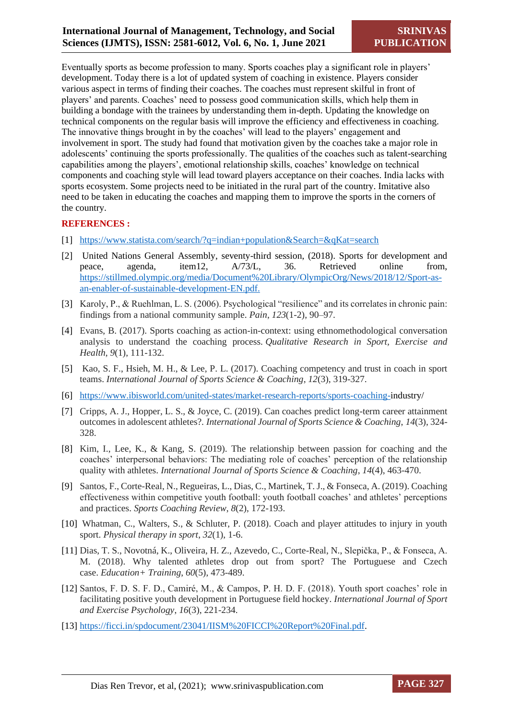Eventually sports as become profession to many. Sports coaches play a significant role in players' development. Today there is a lot of updated system of coaching in existence. Players consider various aspect in terms of finding their coaches. The coaches must represent skilful in front of players' and parents. Coaches' need to possess good communication skills, which help them in building a bondage with the trainees by understanding them in-depth. Updating the knowledge on technical components on the regular basis will improve the efficiency and effectiveness in coaching. The innovative things brought in by the coaches' will lead to the players' engagement and involvement in sport. The study had found that motivation given by the coaches take a major role in adolescents' continuing the sports professionally. The qualities of the coaches such as talent-searching capabilities among the players', emotional relationship skills, coaches' knowledge on technical components and coaching style will lead toward players acceptance on their coaches. India lacks with sports ecosystem. Some projects need to be initiated in the rural part of the country. Imitative also need to be taken in educating the coaches and mapping them to improve the sports in the corners of the country.

#### **REFERENCES :**

- [1] [https://www.statista.com/search/?q=indian+population&Search=&qKat=search](about:blank)
- [2] United Nations General Assembly, seventy-third session, (2018). Sports for development and peace, agenda, item12, A/73/L, 36. Retrieved online from, [https://stillmed.olympic.org/media/Document%20Library/OlympicOrg/News/2018/12/Sport-as](about:blank)[an-enabler-of-sustainable-development-EN.pdf.](about:blank)
- [3] Karoly, P., & Ruehlman, L. S. (2006). Psychological "resilience" and its correlates in chronic pain: findings from a national community sample. *Pain*, *123*(1-2), 90–97.
- [4] Evans, B. (2017). Sports coaching as action-in-context: using ethnomethodological conversation analysis to understand the coaching process. *Qualitative Research in Sport, Exercise and Health*, *9*(1), 111-132.
- [5] Kao, S. F., Hsieh, M. H., & Lee, P. L. (2017). Coaching competency and trust in coach in sport teams. *International Journal of Sports Science & Coaching*, *12*(3), 319-327.
- [6] [https://www.ibisworld.com/united-states/market-research-reports/sports-coaching-i](about:blank)ndustry/
- [7] Cripps, A. J., Hopper, L. S., & Joyce, C. (2019). Can coaches predict long-term career attainment outcomes in adolescent athletes?. *International Journal of Sports Science & Coaching*, *14*(3), 324- 328.
- [8] Kim, I., Lee, K., & Kang, S. (2019). The relationship between passion for coaching and the coaches' interpersonal behaviors: The mediating role of coaches' perception of the relationship quality with athletes. *International Journal of Sports Science & Coaching*, *14*(4), 463-470.
- [9] Santos, F., Corte-Real, N., Regueiras, L., Dias, C., Martinek, T. J., & Fonseca, A. (2019). Coaching effectiveness within competitive youth football: youth football coaches' and athletes' perceptions and practices. *Sports Coaching Review*, *8*(2), 172-193.
- [10] Whatman, C., Walters, S., & Schluter, P. (2018). Coach and player attitudes to injury in youth sport. *Physical therapy in sport*, *32*(1), 1-6.
- [11] Dias, T. S., Novotná, K., Oliveira, H. Z., Azevedo, C., Corte-Real, N., Slepička, P., & Fonseca, A. M. (2018). Why talented athletes drop out from sport? The Portuguese and Czech case. *Education+ Training*, *60*(5), 473-489.
- [12] Santos, F. D. S. F. D., Camiré, M., & Campos, P. H. D. F. (2018). Youth sport coaches' role in facilitating positive youth development in Portuguese field hockey. *International Journal of Sport and Exercise Psychology*, *16*(3), 221-234.
- [13] [https://ficci.in/spdocument/23041/IISM%20FICCI%20Report%20Final.pdf.](about:blank)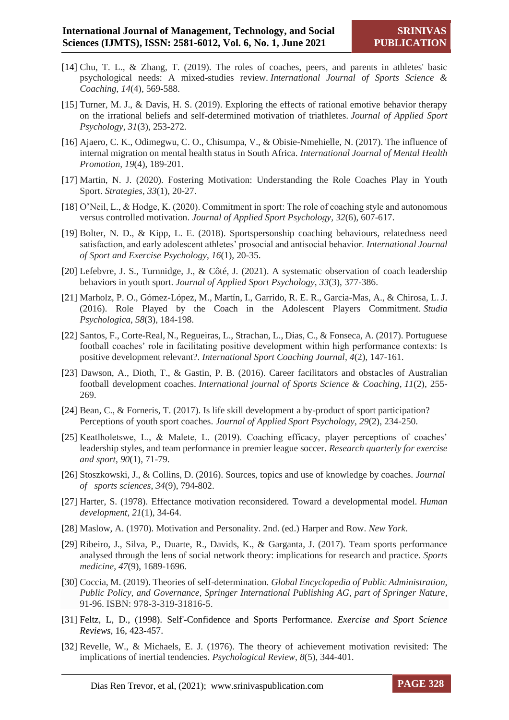- [14] Chu, T. L., & Zhang, T. (2019). The roles of coaches, peers, and parents in athletes' basic psychological needs: A mixed-studies review. *International Journal of Sports Science & Coaching*, *14*(4), 569-588.
- [15] Turner, M. J., & Davis, H. S. (2019). Exploring the effects of rational emotive behavior therapy on the irrational beliefs and self-determined motivation of triathletes. *Journal of Applied Sport Psychology*, *31*(3), 253-272.
- [16] Ajaero, C. K., Odimegwu, C. O., Chisumpa, V., & Obisie-Nmehielle, N. (2017). The influence of internal migration on mental health status in South Africa. *International Journal of Mental Health Promotion*, *19*(4), 189-201.
- [17] Martin, N. J. (2020). Fostering Motivation: Understanding the Role Coaches Play in Youth Sport. *Strategies*, *33*(1), 20-27.
- [18] O'Neil, L., & Hodge, K. (2020). Commitment in sport: The role of coaching style and autonomous versus controlled motivation. *Journal of Applied Sport Psychology*, *32*(6), 607-617.
- [19] Bolter, N. D., & Kipp, L. E. (2018). Sportspersonship coaching behaviours, relatedness need satisfaction, and early adolescent athletes' prosocial and antisocial behavior. *International Journal of Sport and Exercise Psychology*, *16*(1), 20-35.
- [20] Lefebvre, J. S., Turnnidge, J., & Côté, J. (2021). A systematic observation of coach leadership behaviors in youth sport. *Journal of Applied Sport Psychology*, *33*(3), 377-386.
- [21] Marholz, P. O., Gómez-López, M., Martín, I., Garrido, R. E. R., Garcia-Mas, A., & Chirosa, L. J. (2016). Role Played by the Coach in the Adolescent Players Commitment. *Studia Psychologica*, *58*(3), 184-198.
- [22] Santos, F., Corte-Real, N., Regueiras, L., Strachan, L., Dias, C., & Fonseca, A. (2017). Portuguese football coaches' role in facilitating positive development within high performance contexts: Is positive development relevant?. *International Sport Coaching Journal*, *4*(2), 147-161.
- [23] Dawson, A., Dioth, T., & Gastin, P. B. (2016). Career facilitators and obstacles of Australian football development coaches. *International journal of Sports Science & Coaching*, *11*(2), 255- 269.
- [24] Bean, C., & Forneris, T. (2017). Is life skill development a by-product of sport participation? Perceptions of youth sport coaches. *Journal of Applied Sport Psychology*, *29*(2), 234-250.
- [25] Keatlholetswe, L., & Malete, L. (2019). Coaching efficacy, player perceptions of coaches' leadership styles, and team performance in premier league soccer. *Research quarterly for exercise and sport*, *90*(1), 71-79.
- [26] Stoszkowski, J., & Collins, D. (2016). Sources, topics and use of knowledge by coaches. *Journal of sports sciences*, *34*(9), 794-802.
- [27] Harter, S. (1978). Effectance motivation reconsidered. Toward a developmental model. *Human development*, *21*(1), 34-64.
- [28] Maslow, A. (1970). Motivation and Personality. 2nd. (ed.) Harper and Row. *New York*.
- [29] Ribeiro, J., Silva, P., Duarte, R., Davids, K., & Garganta, J. (2017). Team sports performance analysed through the lens of social network theory: implications for research and practice. *Sports medicine*, *47*(9), 1689-1696.
- [30] Coccia, M. (2019). Theories of self-determination. *Global Encyclopedia of Public Administration, Public Policy, and Governance, Springer International Publishing AG, part of Springer Nature*, 91-96. ISBN: 978-3-319-31816-5.
- [31] Feltz, L, D., (1998). Self'-Confidence and Sports Performance. *Exercise and Sport Science Reviews*, 16, 423-457.
- [32] Revelle, W., & Michaels, E. J. (1976). The theory of achievement motivation revisited: The implications of inertial tendencies. *Psychological Review*, *8*(5), 344-401.